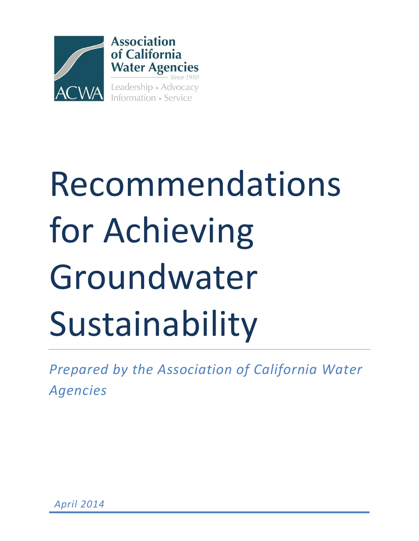

# Recommendations for Achieving Groundwater Sustainability

*Prepared by the Association of California Water Agencies*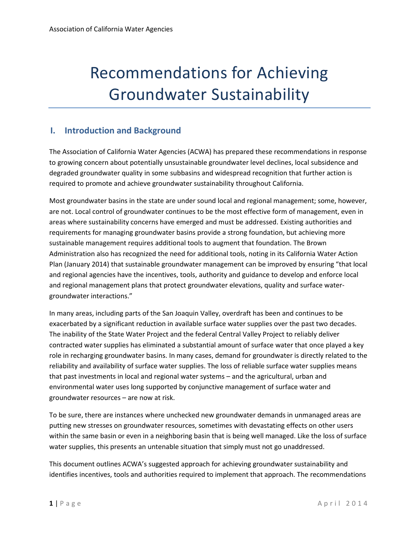# Recommendations for Achieving Groundwater Sustainability

## **I. Introduction and Background**

The Association of California Water Agencies (ACWA) has prepared these recommendations in response to growing concern about potentially unsustainable groundwater level declines, local subsidence and degraded groundwater quality in some subbasins and widespread recognition that further action is required to promote and achieve groundwater sustainability throughout California.

Most groundwater basins in the state are under sound local and regional management; some, however, are not. Local control of groundwater continues to be the most effective form of management, even in areas where sustainability concerns have emerged and must be addressed. Existing authorities and requirements for managing groundwater basins provide a strong foundation, but achieving more sustainable management requires additional tools to augment that foundation. The Brown Administration also has recognized the need for additional tools, noting in its California Water Action Plan (January 2014) that sustainable groundwater management can be improved by ensuring "that local and regional agencies have the incentives, tools, authority and guidance to develop and enforce local and regional management plans that protect groundwater elevations, quality and surface watergroundwater interactions."

In many areas, including parts of the San Joaquin Valley, overdraft has been and continues to be exacerbated by a significant reduction in available surface water supplies over the past two decades. The inability of the State Water Project and the federal Central Valley Project to reliably deliver contracted water supplies has eliminated a substantial amount of surface water that once played a key role in recharging groundwater basins. In many cases, demand for groundwater is directly related to the reliability and availability of surface water supplies. The loss of reliable surface water supplies means that past investments in local and regional water systems – and the agricultural, urban and environmental water uses long supported by conjunctive management of surface water and groundwater resources – are now at risk.

To be sure, there are instances where unchecked new groundwater demands in unmanaged areas are putting new stresses on groundwater resources, sometimes with devastating effects on other users within the same basin or even in a neighboring basin that is being well managed. Like the loss of surface water supplies, this presents an untenable situation that simply must not go unaddressed.

This document outlines ACWA's suggested approach for achieving groundwater sustainability and identifies incentives, tools and authorities required to implement that approach. The recommendations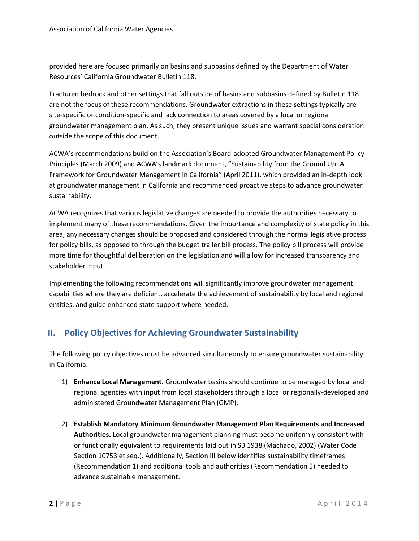provided here are focused primarily on basins and subbasins defined by the Department of Water Resources' California Groundwater Bulletin 118.

Fractured bedrock and other settings that fall outside of basins and subbasins defined by Bulletin 118 are not the focus of these recommendations. Groundwater extractions in these settings typically are site-specific or condition-specific and lack connection to areas covered by a local or regional groundwater management plan. As such, they present unique issues and warrant special consideration outside the scope of this document.

ACWA's recommendations build on the Association's Board-adopted Groundwater Management Policy Principles (March 2009) and ACWA's landmark document, "Sustainability from the Ground Up: A Framework for Groundwater Management in California" (April 2011), which provided an in-depth look at groundwater management in California and recommended proactive steps to advance groundwater sustainability.

ACWA recognizes that various legislative changes are needed to provide the authorities necessary to implement many of these recommendations. Given the importance and complexity of state policy in this area, any necessary changes should be proposed and considered through the normal legislative process for policy bills, as opposed to through the budget trailer bill process. The policy bill process will provide more time for thoughtful deliberation on the legislation and will allow for increased transparency and stakeholder input.

Implementing the following recommendations will significantly improve groundwater management capabilities where they are deficient, accelerate the achievement of sustainability by local and regional entities, and guide enhanced state support where needed.

# **II. Policy Objectives for Achieving Groundwater Sustainability**

The following policy objectives must be advanced simultaneously to ensure groundwater sustainability in California.

- 1) **Enhance Local Management.** Groundwater basins should continue to be managed by local and regional agencies with input from local stakeholders through a local or regionally-developed and administered Groundwater Management Plan (GMP).
- 2) **Establish Mandatory Minimum Groundwater Management Plan Requirements and Increased Authorities.** Local groundwater management planning must become uniformly consistent with or functionally equivalent to requirements laid out in SB 1938 (Machado, 2002) (Water Code Section 10753 et seq.). Additionally, Section III below identifies sustainability timeframes (Recommendation 1) and additional tools and authorities (Recommendation 5) needed to advance sustainable management.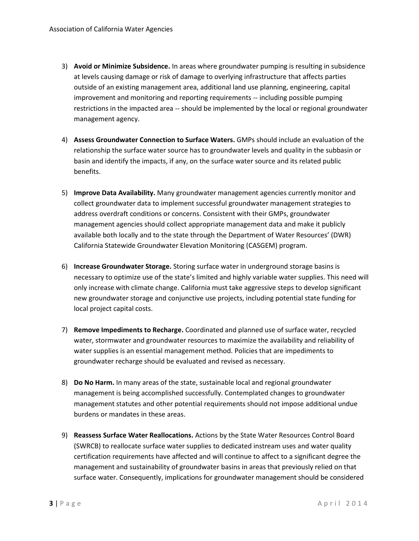- 3) **Avoid or Minimize Subsidence.** In areas where groundwater pumping is resulting in subsidence at levels causing damage or risk of damage to overlying infrastructure that affects parties outside of an existing management area, additional land use planning, engineering, capital improvement and monitoring and reporting requirements -- including possible pumping restrictions in the impacted area -- should be implemented by the local or regional groundwater management agency.
- 4) **Assess Groundwater Connection to Surface Waters.** GMPs should include an evaluation of the relationship the surface water source has to groundwater levels and quality in the subbasin or basin and identify the impacts, if any, on the surface water source and its related public benefits.
- 5) **Improve Data Availability.** Many groundwater management agencies currently monitor and collect groundwater data to implement successful groundwater management strategies to address overdraft conditions or concerns. Consistent with their GMPs, groundwater management agencies should collect appropriate management data and make it publicly available both locally and to the state through the Department of Water Resources' (DWR) California Statewide Groundwater Elevation Monitoring (CASGEM) program.
- 6) **Increase Groundwater Storage.** Storing surface water in underground storage basins is necessary to optimize use of the state's limited and highly variable water supplies. This need will only increase with climate change. California must take aggressive steps to develop significant new groundwater storage and conjunctive use projects, including potential state funding for local project capital costs.
- 7) **Remove Impediments to Recharge.** Coordinated and planned use of surface water, recycled water, stormwater and groundwater resources to maximize the availability and reliability of water supplies is an essential management method. Policies that are impediments to groundwater recharge should be evaluated and revised as necessary.
- 8) **Do No Harm.** In many areas of the state, sustainable local and regional groundwater management is being accomplished successfully. Contemplated changes to groundwater management statutes and other potential requirements should not impose additional undue burdens or mandates in these areas.
- 9) **Reassess Surface Water Reallocations.** Actions by the State Water Resources Control Board (SWRCB) to reallocate surface water supplies to dedicated instream uses and water quality certification requirements have affected and will continue to affect to a significant degree the management and sustainability of groundwater basins in areas that previously relied on that surface water. Consequently, implications for groundwater management should be considered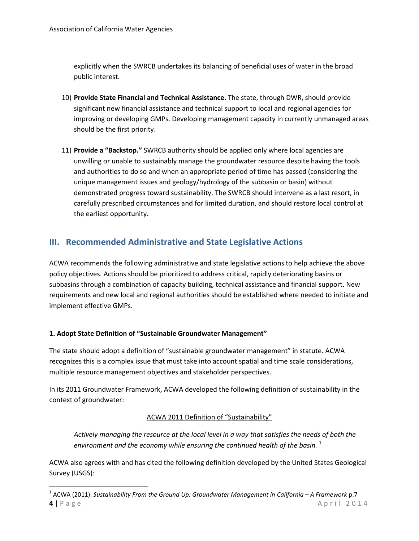explicitly when the SWRCB undertakes its balancing of beneficial uses of water in the broad public interest.

- 10) **Provide State Financial and Technical Assistance.** The state, through DWR, should provide significant new financial assistance and technical support to local and regional agencies for improving or developing GMPs. Developing management capacity in currently unmanaged areas should be the first priority.
- 11) **Provide a "Backstop."** SWRCB authority should be applied only where local agencies are unwilling or unable to sustainably manage the groundwater resource despite having the tools and authorities to do so and when an appropriate period of time has passed (considering the unique management issues and geology/hydrology of the subbasin or basin) without demonstrated progress toward sustainability. The SWRCB should intervene as a last resort, in carefully prescribed circumstances and for limited duration, and should restore local control at the earliest opportunity.

# **III. Recommended Administrative and State Legislative Actions**

ACWA recommends the following administrative and state legislative actions to help achieve the above policy objectives. Actions should be prioritized to address critical, rapidly deteriorating basins or subbasins through a combination of capacity building, technical assistance and financial support. New requirements and new local and regional authorities should be established where needed to initiate and implement effective GMPs.

## **1. Adopt State Definition of "Sustainable Groundwater Management"**

 $\overline{\phantom{a}}$ 

The state should adopt a definition of "sustainable groundwater management" in statute. ACWA recognizes this is a complex issue that must take into account spatial and time scale considerations, multiple resource management objectives and stakeholder perspectives.

In its 2011 Groundwater Framework, ACWA developed the following definition of sustainability in the context of groundwater:

## ACWA 2011 Definition of "Sustainability"

*Actively managing the resource at the local level in a way that satisfies the needs of both the*  environment and the economy while ensuring the continued health of the basin.<sup>1</sup>

ACWA also agrees with and has cited the following definition developed by the United States Geological Survey (USGS):

**<sup>4</sup>** | P a g e A p r i l 2 0 1 4 <sup>1</sup> ACWA (2011). *Sustainability From the Ground Up: Groundwater Management in California – A Framework p.7*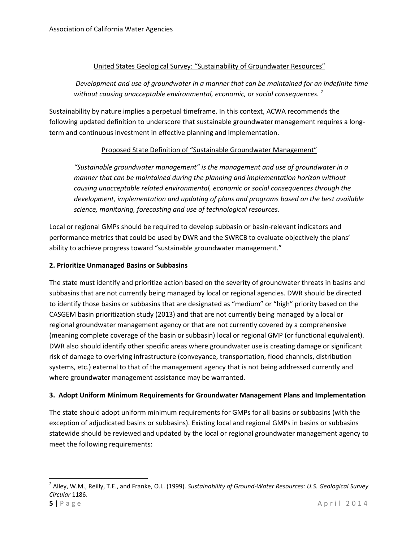#### United States Geological Survey: "Sustainability of Groundwater Resources"

## *Development and use of groundwater in a manner that can be maintained for an indefinite time*  without causing unacceptable environmental, economic, or social consequences.<sup>2</sup>

Sustainability by nature implies a perpetual timeframe. In this context, ACWA recommends the following updated definition to underscore that sustainable groundwater management requires a longterm and continuous investment in effective planning and implementation.

#### Proposed State Definition of "Sustainable Groundwater Management"

*"Sustainable groundwater management" is the management and use of groundwater in a manner that can be maintained during the planning and implementation horizon without causing unacceptable related environmental, economic or social consequences through the development, implementation and updating of plans and programs based on the best available science, monitoring, forecasting and use of technological resources.*

Local or regional GMPs should be required to develop subbasin or basin-relevant indicators and performance metrics that could be used by DWR and the SWRCB to evaluate objectively the plans' ability to achieve progress toward "sustainable groundwater management."

#### **2. Prioritize Unmanaged Basins or Subbasins**

The state must identify and prioritize action based on the severity of groundwater threats in basins and subbasins that are not currently being managed by local or regional agencies. DWR should be directed to identify those basins or subbasins that are designated as "medium" or "high" priority based on the CASGEM basin prioritization study (2013) and that are not currently being managed by a local or regional groundwater management agency or that are not currently covered by a comprehensive (meaning complete coverage of the basin or subbasin) local or regional GMP (or functional equivalent). DWR also should identify other specific areas where groundwater use is creating damage or significant risk of damage to overlying infrastructure (conveyance, transportation, flood channels, distribution systems, etc.) external to that of the management agency that is not being addressed currently and where groundwater management assistance may be warranted.

#### **3. Adopt Uniform Minimum Requirements for Groundwater Management Plans and Implementation**

The state should adopt uniform minimum requirements for GMPs for all basins or subbasins (with the exception of adjudicated basins or subbasins). Existing local and regional GMPs in basins or subbasins statewide should be reviewed and updated by the local or regional groundwater management agency to meet the following requirements:

 $\overline{a}$ 

**<sup>5</sup>** | P a g e  $\overline{a}$  | P a g e  $\overline{b}$  | P a g e  $\overline{a}$  | P a g e  $\overline{a}$  | P a g e  $\overline{a}$  | P a g e  $\overline{a}$  | P a g e  $\overline{a}$  | P a g e  $\overline{a}$  | P a g e  $\overline{a}$  | P a g e  $\overline{a}$  | P a g e  $\overline{a}$  | P a g 2 Alley, W.M., Reilly, T.E., and Franke, O.L. (1999). *Sustainability of Ground-Water Resources: U.S. Geological Survey Circular* 1186.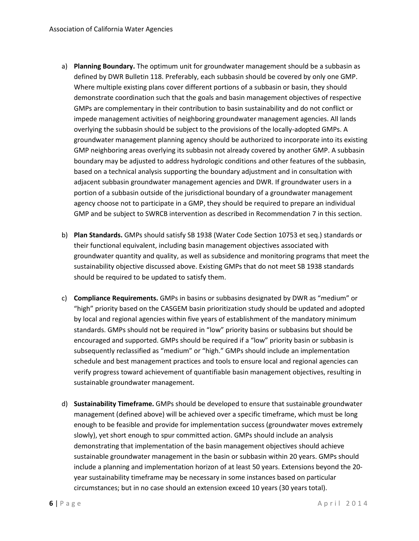- a) **Planning Boundary.** The optimum unit for groundwater management should be a subbasin as defined by DWR Bulletin 118. Preferably, each subbasin should be covered by only one GMP. Where multiple existing plans cover different portions of a subbasin or basin, they should demonstrate coordination such that the goals and basin management objectives of respective GMPs are complementary in their contribution to basin sustainability and do not conflict or impede management activities of neighboring groundwater management agencies. All lands overlying the subbasin should be subject to the provisions of the locally-adopted GMPs. A groundwater management planning agency should be authorized to incorporate into its existing GMP neighboring areas overlying its subbasin not already covered by another GMP. A subbasin boundary may be adjusted to address hydrologic conditions and other features of the subbasin, based on a technical analysis supporting the boundary adjustment and in consultation with adjacent subbasin groundwater management agencies and DWR. If groundwater users in a portion of a subbasin outside of the jurisdictional boundary of a groundwater management agency choose not to participate in a GMP, they should be required to prepare an individual GMP and be subject to SWRCB intervention as described in Recommendation 7 in this section.
- b) **Plan Standards.** GMPs should satisfy SB 1938 (Water Code Section 10753 et seq.) standards or their functional equivalent, including basin management objectives associated with groundwater quantity and quality, as well as subsidence and monitoring programs that meet the sustainability objective discussed above. Existing GMPs that do not meet SB 1938 standards should be required to be updated to satisfy them.
- c) **Compliance Requirements.** GMPs in basins or subbasins designated by DWR as "medium" or "high" priority based on the CASGEM basin prioritization study should be updated and adopted by local and regional agencies within five years of establishment of the mandatory minimum standards. GMPs should not be required in "low" priority basins or subbasins but should be encouraged and supported. GMPs should be required if a "low" priority basin or subbasin is subsequently reclassified as "medium" or "high." GMPs should include an implementation schedule and best management practices and tools to ensure local and regional agencies can verify progress toward achievement of quantifiable basin management objectives, resulting in sustainable groundwater management.
- d) **Sustainability Timeframe.** GMPs should be developed to ensure that sustainable groundwater management (defined above) will be achieved over a specific timeframe, which must be long enough to be feasible and provide for implementation success (groundwater moves extremely slowly), yet short enough to spur committed action. GMPs should include an analysis demonstrating that implementation of the basin management objectives should achieve sustainable groundwater management in the basin or subbasin within 20 years. GMPs should include a planning and implementation horizon of at least 50 years. Extensions beyond the 20 year sustainability timeframe may be necessary in some instances based on particular circumstances; but in no case should an extension exceed 10 years (30 years total).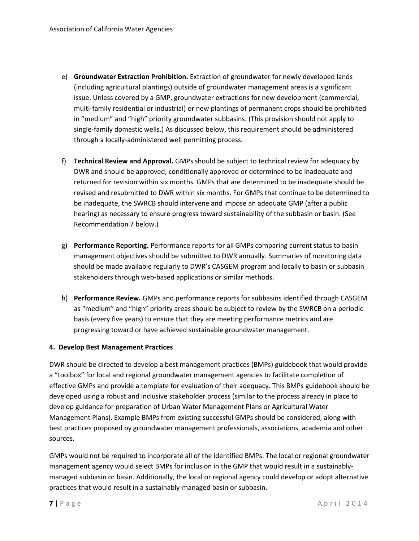- e) **Groundwater Extraction Prohibition.** Extraction of groundwater for newly developed lands (including agricultural plantings) outside of groundwater management areas is a significant issue. Unless covered by a GMP, groundwater extractions for new development (commercial, multi-family residential or industrial) or new plantings of permanent crops should be prohibited in "medium" and "high" priority groundwater subbasins. (This provision should not apply to single-family domestic wells.) As discussed below, this requirement should be administered through a locally-administered well permitting process.
- f) **Technical Review and Approval.** GMPs should be subject to technical review for adequacy by DWR and should be approved, conditionally approved or determined to be inadequate and returned for revision within six months. GMPs that are determined to be inadequate should be revised and resubmitted to DWR within six months. For GMPs that continue to be determined to be inadequate, the SWRCB should intervene and impose an adequate GMP (after a public hearing) as necessary to ensure progress toward sustainability of the subbasin or basin. (See Recommendation 7 below.)
- g) **Performance Reporting.** Performance reports for all GMPs comparing current status to basin management objectives should be submitted to DWR annually. Summaries of monitoring data should be made available regularly to DWR's CASGEM program and locally to basin or subbasin stakeholders through web-based applications or similar methods.
- h) **Performance Review.** GMPs and performance reports for subbasins identified through CASGEM as "medium" and "high" priority areas should be subject to review by the SWRCB on a periodic basis (every five years) to ensure that they are meeting performance metrics and are progressing toward or have achieved sustainable groundwater management.

#### **4. Develop Best Management Practices**

DWR should be directed to develop a best management practices (BMPs) guidebook that would provide a "toolbox" for local and regional groundwater management agencies to facilitate completion of effective GMPs and provide a template for evaluation of their adequacy. This BMPs guidebook should be developed using a robust and inclusive stakeholder process (similar to the process already in place to develop guidance for preparation of Urban Water Management Plans or Agricultural Water Management Plans). Example BMPs from existing successful GMPs should be considered, along with best practices proposed by groundwater management professionals, associations, academia and other sources.

GMPs would not be required to incorporate all of the identified BMPs. The local or regional groundwater management agency would select BMPs for inclusion in the GMP that would result in a sustainablymanaged subbasin or basin. Additionally, the local or regional agency could develop or adopt alternative practices that would result in a sustainably-managed basin or subbasin.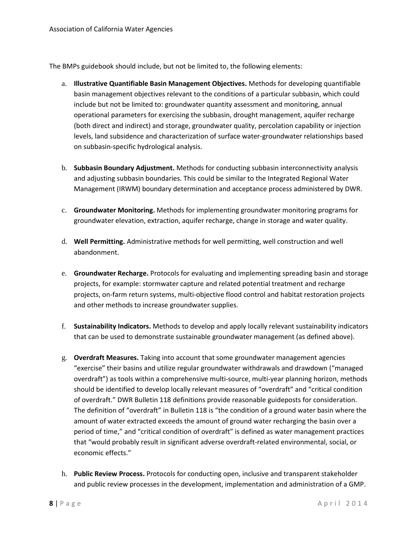The BMPs guidebook should include, but not be limited to, the following elements:

- a. **Illustrative Quantifiable Basin Management Objectives.** Methods for developing quantifiable basin management objectives relevant to the conditions of a particular subbasin, which could include but not be limited to: groundwater quantity assessment and monitoring, annual operational parameters for exercising the subbasin, drought management, aquifer recharge (both direct and indirect) and storage, groundwater quality, percolation capability or injection levels, land subsidence and characterization of surface water-groundwater relationships based on subbasin-specific hydrological analysis.
- b. **Subbasin Boundary Adjustment.** Methods for conducting subbasin interconnectivity analysis and adjusting subbasin boundaries. This could be similar to the Integrated Regional Water Management (IRWM) boundary determination and acceptance process administered by DWR.
- c. **Groundwater Monitoring.** Methods for implementing groundwater monitoring programs for groundwater elevation, extraction, aquifer recharge, change in storage and water quality.
- d. **Well Permitting.** Administrative methods for well permitting, well construction and well abandonment.
- e. **Groundwater Recharge.** Protocols for evaluating and implementing spreading basin and storage projects, for example: stormwater capture and related potential treatment and recharge projects, on-farm return systems, multi-objective flood control and habitat restoration projects and other methods to increase groundwater supplies.
- f. **Sustainability Indicators.** Methods to develop and apply locally relevant sustainability indicators that can be used to demonstrate sustainable groundwater management (as defined above).
- g. **Overdraft Measures.** Taking into account that some groundwater management agencies "exercise" their basins and utilize regular groundwater withdrawals and drawdown ("managed overdraft") as tools within a comprehensive multi-source, multi-year planning horizon, methods should be identified to develop locally relevant measures of "overdraft" and "critical condition of overdraft." DWR Bulletin 118 definitions provide reasonable guideposts for consideration. The definition of "overdraft" in Bulletin 118 is "the condition of a ground water basin where the amount of water extracted exceeds the amount of ground water recharging the basin over a period of time," and "critical condition of overdraft" is defined as water management practices that "would probably result in significant adverse overdraft-related environmental, social, or economic effects."
- h. **Public Review Process.** Protocols for conducting open, inclusive and transparent stakeholder and public review processes in the development, implementation and administration of a GMP.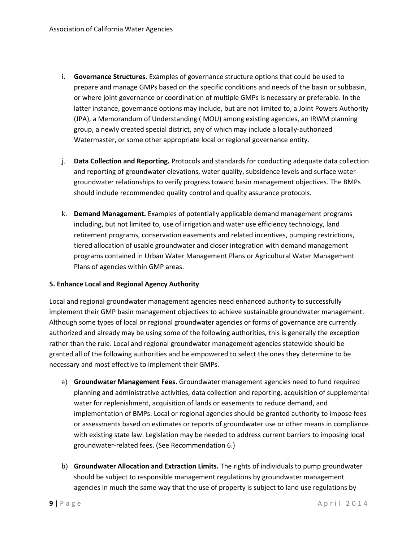- i. **Governance Structures.** Examples of governance structure options that could be used to prepare and manage GMPs based on the specific conditions and needs of the basin or subbasin, or where joint governance or coordination of multiple GMPs is necessary or preferable. In the latter instance, governance options may include, but are not limited to, a Joint Powers Authority (JPA), a Memorandum of Understanding ( MOU) among existing agencies, an IRWM planning group, a newly created special district, any of which may include a locally-authorized Watermaster, or some other appropriate local or regional governance entity.
- j. **Data Collection and Reporting.** Protocols and standards for conducting adequate data collection and reporting of groundwater elevations, water quality, subsidence levels and surface watergroundwater relationships to verify progress toward basin management objectives. The BMPs should include recommended quality control and quality assurance protocols.
- k. **Demand Management.** Examples of potentially applicable demand management programs including, but not limited to, use of irrigation and water use efficiency technology, land retirement programs, conservation easements and related incentives, pumping restrictions, tiered allocation of usable groundwater and closer integration with demand management programs contained in Urban Water Management Plans or Agricultural Water Management Plans of agencies within GMP areas.

#### **5. Enhance Local and Regional Agency Authority**

Local and regional groundwater management agencies need enhanced authority to successfully implement their GMP basin management objectives to achieve sustainable groundwater management. Although some types of local or regional groundwater agencies or forms of governance are currently authorized and already may be using some of the following authorities, this is generally the exception rather than the rule. Local and regional groundwater management agencies statewide should be granted all of the following authorities and be empowered to select the ones they determine to be necessary and most effective to implement their GMPs.

- a) **Groundwater Management Fees.** Groundwater management agencies need to fund required planning and administrative activities, data collection and reporting, acquisition of supplemental water for replenishment, acquisition of lands or easements to reduce demand, and implementation of BMPs. Local or regional agencies should be granted authority to impose fees or assessments based on estimates or reports of groundwater use or other means in compliance with existing state law. Legislation may be needed to address current barriers to imposing local groundwater-related fees. (See Recommendation 6.)
- b) **Groundwater Allocation and Extraction Limits.** The rights of individuals to pump groundwater should be subject to responsible management regulations by groundwater management agencies in much the same way that the use of property is subject to land use regulations by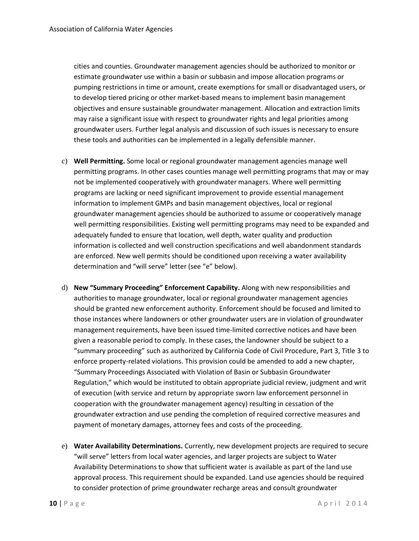cities and counties. Groundwater management agencies should be authorized to monitor or estimate groundwater use within a basin or subbasin and impose allocation programs or pumping restrictions in time or amount, create exemptions for small or disadvantaged users, or to develop tiered pricing or other market-based means to implement basin management objectives and ensure sustainable groundwater management. Allocation and extraction limits may raise a significant issue with respect to groundwater rights and legal priorities among groundwater users. Further legal analysis and discussion of such issues is necessary to ensure these tools and authorities can be implemented in a legally defensible manner.

- c) **Well Permitting.** Some local or regional groundwater management agencies manage well permitting programs. In other cases counties manage well permitting programs that may or may not be implemented cooperatively with groundwater managers. Where well permitting programs are lacking or need significant improvement to provide essential management information to implement GMPs and basin management objectives, local or regional groundwater management agencies should be authorized to assume or cooperatively manage well permitting responsibilities. Existing well permitting programs may need to be expanded and adequately funded to ensure that location, well depth, water quality and production information is collected and well construction specifications and well abandonment standards are enforced. New well permits should be conditioned upon receiving a water availability determination and "will serve" letter (see "e" below).
- d) **New "Summary Proceeding" Enforcement Capability.** Along with new responsibilities and authorities to manage groundwater, local or regional groundwater management agencies should be granted new enforcement authority. Enforcement should be focused and limited to those instances where landowners or other groundwater users are in violation of groundwater management requirements, have been issued time-limited corrective notices and have been given a reasonable period to comply. In these cases, the landowner should be subject to a "summary proceeding" such as authorized by California Code of Civil Procedure, Part 3, Title 3 to enforce property-related violations. This provision could be amended to add a new chapter, "Summary Proceedings Associated with Violation of Basin or Subbasin Groundwater Regulation," which would be instituted to obtain appropriate judicial review, judgment and writ of execution (with service and return by appropriate sworn law enforcement personnel in cooperation with the groundwater management agency) resulting in cessation of the groundwater extraction and use pending the completion of required corrective measures and payment of monetary damages, attorney fees and costs of the proceeding.
- e) **Water Availability Determinations.** Currently, new development projects are required to secure "will serve" letters from local water agencies, and larger projects are subject to Water Availability Determinations to show that sufficient water is available as part of the land use approval process. This requirement should be expanded. Land use agencies should be required to consider protection of prime groundwater recharge areas and consult groundwater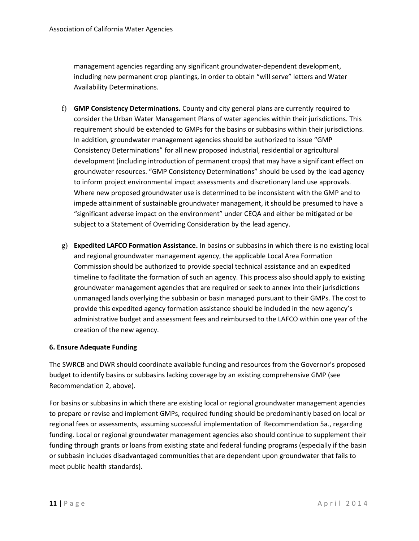management agencies regarding any significant groundwater-dependent development, including new permanent crop plantings, in order to obtain "will serve" letters and Water Availability Determinations.

- f) **GMP Consistency Determinations.** County and city general plans are currently required to consider the Urban Water Management Plans of water agencies within their jurisdictions. This requirement should be extended to GMPs for the basins or subbasins within their jurisdictions. In addition, groundwater management agencies should be authorized to issue "GMP Consistency Determinations" for all new proposed industrial, residential or agricultural development (including introduction of permanent crops) that may have a significant effect on groundwater resources. "GMP Consistency Determinations" should be used by the lead agency to inform project environmental impact assessments and discretionary land use approvals. Where new proposed groundwater use is determined to be inconsistent with the GMP and to impede attainment of sustainable groundwater management, it should be presumed to have a "significant adverse impact on the environment" under CEQA and either be mitigated or be subject to a Statement of Overriding Consideration by the lead agency.
- g) **Expedited LAFCO Formation Assistance.** In basins or subbasins in which there is no existing local and regional groundwater management agency, the applicable Local Area Formation Commission should be authorized to provide special technical assistance and an expedited timeline to facilitate the formation of such an agency. This process also should apply to existing groundwater management agencies that are required or seek to annex into their jurisdictions unmanaged lands overlying the subbasin or basin managed pursuant to their GMPs. The cost to provide this expedited agency formation assistance should be included in the new agency's administrative budget and assessment fees and reimbursed to the LAFCO within one year of the creation of the new agency.

#### **6. Ensure Adequate Funding**

The SWRCB and DWR should coordinate available funding and resources from the Governor's proposed budget to identify basins or subbasins lacking coverage by an existing comprehensive GMP (see Recommendation 2, above).

For basins or subbasins in which there are existing local or regional groundwater management agencies to prepare or revise and implement GMPs, required funding should be predominantly based on local or regional fees or assessments, assuming successful implementation of Recommendation 5a., regarding funding. Local or regional groundwater management agencies also should continue to supplement their funding through grants or loans from existing state and federal funding programs (especially if the basin or subbasin includes disadvantaged communities that are dependent upon groundwater that fails to meet public health standards).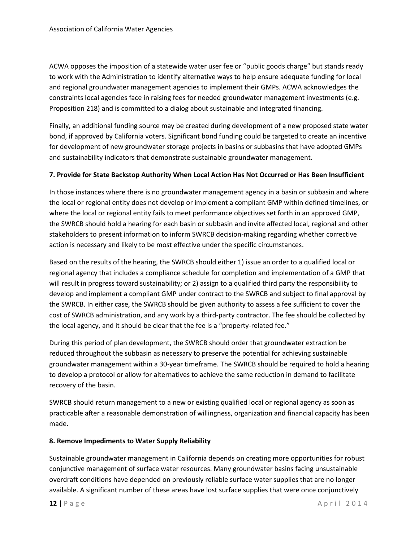ACWA opposes the imposition of a statewide water user fee or "public goods charge" but stands ready to work with the Administration to identify alternative ways to help ensure adequate funding for local and regional groundwater management agencies to implement their GMPs. ACWA acknowledges the constraints local agencies face in raising fees for needed groundwater management investments (e.g. Proposition 218) and is committed to a dialog about sustainable and integrated financing.

Finally, an additional funding source may be created during development of a new proposed state water bond, if approved by California voters. Significant bond funding could be targeted to create an incentive for development of new groundwater storage projects in basins or subbasins that have adopted GMPs and sustainability indicators that demonstrate sustainable groundwater management.

#### **7. Provide for State Backstop Authority When Local Action Has Not Occurred or Has Been Insufficient**

In those instances where there is no groundwater management agency in a basin or subbasin and where the local or regional entity does not develop or implement a compliant GMP within defined timelines, or where the local or regional entity fails to meet performance objectives set forth in an approved GMP, the SWRCB should hold a hearing for each basin or subbasin and invite affected local, regional and other stakeholders to present information to inform SWRCB decision-making regarding whether corrective action is necessary and likely to be most effective under the specific circumstances.

Based on the results of the hearing, the SWRCB should either 1) issue an order to a qualified local or regional agency that includes a compliance schedule for completion and implementation of a GMP that will result in progress toward sustainability; or 2) assign to a qualified third party the responsibility to develop and implement a compliant GMP under contract to the SWRCB and subject to final approval by the SWRCB. In either case, the SWRCB should be given authority to assess a fee sufficient to cover the cost of SWRCB administration, and any work by a third-party contractor. The fee should be collected by the local agency, and it should be clear that the fee is a "property-related fee."

During this period of plan development, the SWRCB should order that groundwater extraction be reduced throughout the subbasin as necessary to preserve the potential for achieving sustainable groundwater management within a 30-year timeframe. The SWRCB should be required to hold a hearing to develop a protocol or allow for alternatives to achieve the same reduction in demand to facilitate recovery of the basin.

SWRCB should return management to a new or existing qualified local or regional agency as soon as practicable after a reasonable demonstration of willingness, organization and financial capacity has been made.

#### **8. Remove Impediments to Water Supply Reliability**

Sustainable groundwater management in California depends on creating more opportunities for robust conjunctive management of surface water resources. Many groundwater basins facing unsustainable overdraft conditions have depended on previously reliable surface water supplies that are no longer available. A significant number of these areas have lost surface supplies that were once conjunctively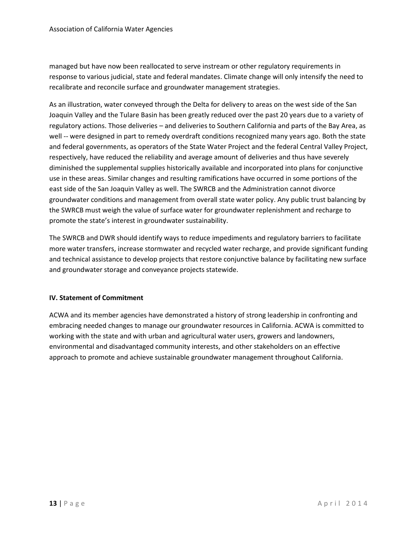managed but have now been reallocated to serve instream or other regulatory requirements in response to various judicial, state and federal mandates. Climate change will only intensify the need to recalibrate and reconcile surface and groundwater management strategies.

As an illustration, water conveyed through the Delta for delivery to areas on the west side of the San Joaquin Valley and the Tulare Basin has been greatly reduced over the past 20 years due to a variety of regulatory actions. Those deliveries – and deliveries to Southern California and parts of the Bay Area, as well -- were designed in part to remedy overdraft conditions recognized many years ago. Both the state and federal governments, as operators of the State Water Project and the federal Central Valley Project, respectively, have reduced the reliability and average amount of deliveries and thus have severely diminished the supplemental supplies historically available and incorporated into plans for conjunctive use in these areas. Similar changes and resulting ramifications have occurred in some portions of the east side of the San Joaquin Valley as well. The SWRCB and the Administration cannot divorce groundwater conditions and management from overall state water policy. Any public trust balancing by the SWRCB must weigh the value of surface water for groundwater replenishment and recharge to promote the state's interest in groundwater sustainability.

The SWRCB and DWR should identify ways to reduce impediments and regulatory barriers to facilitate more water transfers, increase stormwater and recycled water recharge, and provide significant funding and technical assistance to develop projects that restore conjunctive balance by facilitating new surface and groundwater storage and conveyance projects statewide.

#### **IV. Statement of Commitment**

ACWA and its member agencies have demonstrated a history of strong leadership in confronting and embracing needed changes to manage our groundwater resources in California. ACWA is committed to working with the state and with urban and agricultural water users, growers and landowners, environmental and disadvantaged community interests, and other stakeholders on an effective approach to promote and achieve sustainable groundwater management throughout California.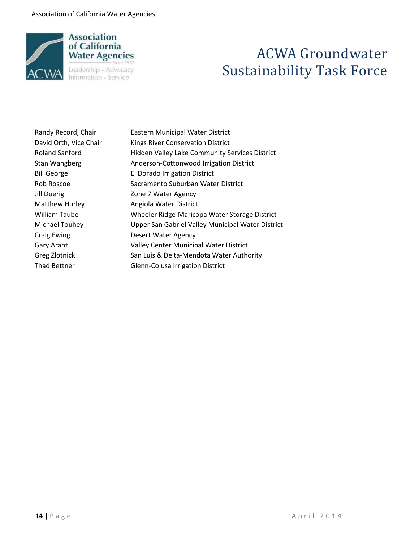

# ACWA Groundwater Sustainability Task Force

| Randy Record, Chair    | <b>Eastern Municipal Water District</b>               |
|------------------------|-------------------------------------------------------|
| David Orth, Vice Chair | <b>Kings River Conservation District</b>              |
| <b>Roland Sanford</b>  | <b>Hidden Valley Lake Community Services District</b> |
| Stan Wangberg          | Anderson-Cottonwood Irrigation District               |
| <b>Bill George</b>     | El Dorado Irrigation District                         |
| Rob Roscoe             | Sacramento Suburban Water District                    |
| Jill Duerig            | Zone 7 Water Agency                                   |
| <b>Matthew Hurley</b>  | Angiola Water District                                |
| William Taube          | Wheeler Ridge-Maricopa Water Storage District         |
| Michael Touhey         | Upper San Gabriel Valley Municipal Water District     |
| <b>Craig Ewing</b>     | <b>Desert Water Agency</b>                            |
| Gary Arant             | <b>Valley Center Municipal Water District</b>         |
| Greg Zlotnick          | San Luis & Delta-Mendota Water Authority              |
| Thad Bettner           | <b>Glenn-Colusa Irrigation District</b>               |
|                        |                                                       |